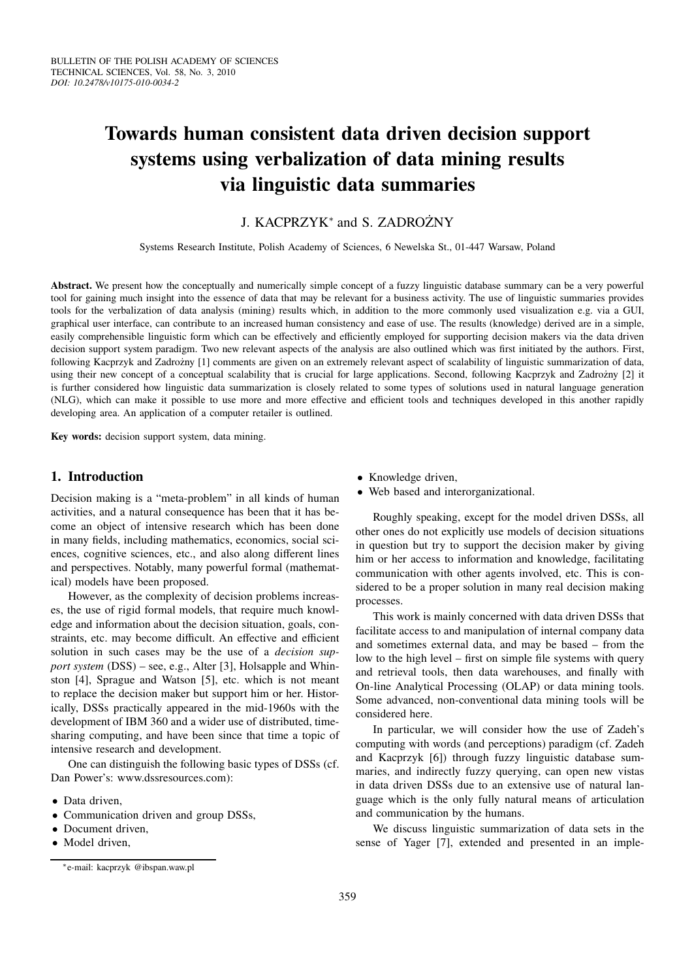# **Towards human consistent data driven decision support systems using verbalization of data mining results via linguistic data summaries**

## J. KACPRZYK<sup>∗</sup> and S. ZADROŻNY

Systems Research Institute, Polish Academy of Sciences, 6 Newelska St., 01-447 Warsaw, Poland

**Abstract.** We present how the conceptually and numerically simple concept of a fuzzy linguistic database summary can be a very powerful tool for gaining much insight into the essence of data that may be relevant for a business activity. The use of linguistic summaries provides tools for the verbalization of data analysis (mining) results which, in addition to the more commonly used visualization e.g. via a GUI, graphical user interface, can contribute to an increased human consistency and ease of use. The results (knowledge) derived are in a simple, easily comprehensible linguistic form which can be effectively and efficiently employed for supporting decision makers via the data driven decision support system paradigm. Two new relevant aspects of the analysis are also outlined which was first initiated by the authors. First, following Kacprzyk and Zadrożny [1] comments are given on an extremely relevant aspect of scalability of linguistic summarization of data, using their new concept of a conceptual scalability that is crucial for large applications. Second, following Kacprzyk and Zadrożny [2] it is further considered how linguistic data summarization is closely related to some types of solutions used in natural language generation (NLG), which can make it possible to use more and more effective and efficient tools and techniques developed in this another rapidly developing area. An application of a computer retailer is outlined.

**Key words:** decision support system, data mining.

#### **1. Introduction**

Decision making is a "meta-problem" in all kinds of human activities, and a natural consequence has been that it has become an object of intensive research which has been done in many fields, including mathematics, economics, social sciences, cognitive sciences, etc., and also along different lines and perspectives. Notably, many powerful formal (mathematical) models have been proposed.

However, as the complexity of decision problems increases, the use of rigid formal models, that require much knowledge and information about the decision situation, goals, constraints, etc. may become difficult. An effective and efficient solution in such cases may be the use of a *decision support system* (DSS) – see, e.g., Alter [3], Holsapple and Whinston [4], Sprague and Watson [5], etc. which is not meant to replace the decision maker but support him or her. Historically, DSSs practically appeared in the mid-1960s with the development of IBM 360 and a wider use of distributed, timesharing computing, and have been since that time a topic of intensive research and development.

One can distinguish the following basic types of DSSs (cf. Dan Power's: www.dssresources.com):

- Data driven.
- Communication driven and group DSSs,
- Document driven,
- Model driven,
- Knowledge driven,
- Web based and interorganizational.

Roughly speaking, except for the model driven DSSs, all other ones do not explicitly use models of decision situations in question but try to support the decision maker by giving him or her access to information and knowledge, facilitating communication with other agents involved, etc. This is considered to be a proper solution in many real decision making processes.

This work is mainly concerned with data driven DSSs that facilitate access to and manipulation of internal company data and sometimes external data, and may be based – from the low to the high level – first on simple file systems with query and retrieval tools, then data warehouses, and finally with On-line Analytical Processing (OLAP) or data mining tools. Some advanced, non-conventional data mining tools will be considered here.

In particular, we will consider how the use of Zadeh's computing with words (and perceptions) paradigm (cf. Zadeh and Kacprzyk [6]) through fuzzy linguistic database summaries, and indirectly fuzzy querying, can open new vistas in data driven DSSs due to an extensive use of natural language which is the only fully natural means of articulation and communication by the humans.

We discuss linguistic summarization of data sets in the sense of Yager [7], extended and presented in an imple-

<sup>∗</sup>e-mail: kacprzyk @ibspan.waw.pl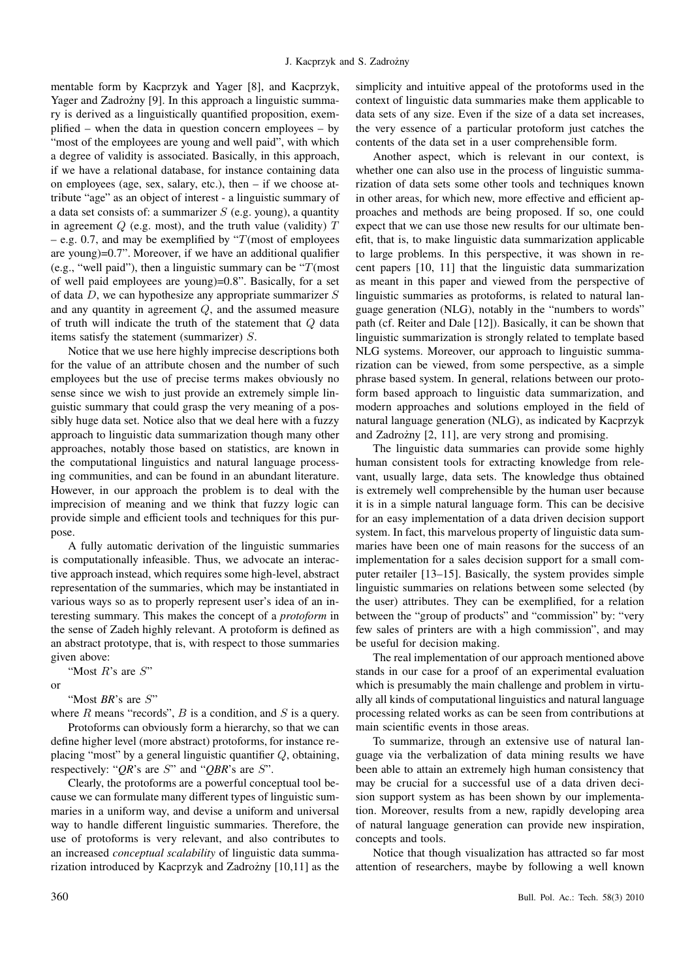mentable form by Kacprzyk and Yager [8], and Kacprzyk, Yager and Zadrożny [9]. In this approach a linguistic summary is derived as a linguistically quantified proposition, exemplified – when the data in question concern employees – by "most of the employees are young and well paid", with which a degree of validity is associated. Basically, in this approach, if we have a relational database, for instance containing data on employees (age, sex, salary, etc.), then – if we choose attribute "age" as an object of interest - a linguistic summary of a data set consists of: a summarizer  $S$  (e.g. young), a quantity in agreement  $Q$  (e.g. most), and the truth value (validity)  $T$ – e.g. 0.7, and may be exemplified by " $T$  (most of employees are young)=0.7". Moreover, if we have an additional qualifier (e.g., "well paid"), then a linguistic summary can be " $T$  (most of well paid employees are young)=0.8". Basically, for a set of data  $D$ , we can hypothesize any appropriate summarizer  $S$ and any quantity in agreement Q, and the assumed measure of truth will indicate the truth of the statement that Q data items satisfy the statement (summarizer) S.

Notice that we use here highly imprecise descriptions both for the value of an attribute chosen and the number of such employees but the use of precise terms makes obviously no sense since we wish to just provide an extremely simple linguistic summary that could grasp the very meaning of a possibly huge data set. Notice also that we deal here with a fuzzy approach to linguistic data summarization though many other approaches, notably those based on statistics, are known in the computational linguistics and natural language processing communities, and can be found in an abundant literature. However, in our approach the problem is to deal with the imprecision of meaning and we think that fuzzy logic can provide simple and efficient tools and techniques for this purpose.

A fully automatic derivation of the linguistic summaries is computationally infeasible. Thus, we advocate an interactive approach instead, which requires some high-level, abstract representation of the summaries, which may be instantiated in various ways so as to properly represent user's idea of an interesting summary. This makes the concept of a *protoform* in the sense of Zadeh highly relevant. A protoform is defined as an abstract prototype, that is, with respect to those summaries given above:

"Most  $R$ 's are  $S$ "

or

"Most *BR*'s are S"

where  $R$  means "records",  $B$  is a condition, and  $S$  is a query.

Protoforms can obviously form a hierarchy, so that we can define higher level (more abstract) protoforms, for instance replacing "most" by a general linguistic quantifier  $Q$ , obtaining, respectively: "*QR*'s are S" and "*QBR*'s are S".

Clearly, the protoforms are a powerful conceptual tool because we can formulate many different types of linguistic summaries in a uniform way, and devise a uniform and universal way to handle different linguistic summaries. Therefore, the use of protoforms is very relevant, and also contributes to an increased *conceptual scalability* of linguistic data summarization introduced by Kacprzyk and Zadrożny [10,11] as the simplicity and intuitive appeal of the protoforms used in the context of linguistic data summaries make them applicable to data sets of any size. Even if the size of a data set increases, the very essence of a particular protoform just catches the contents of the data set in a user comprehensible form.

Another aspect, which is relevant in our context, is whether one can also use in the process of linguistic summarization of data sets some other tools and techniques known in other areas, for which new, more effective and efficient approaches and methods are being proposed. If so, one could expect that we can use those new results for our ultimate benefit, that is, to make linguistic data summarization applicable to large problems. In this perspective, it was shown in recent papers [10, 11] that the linguistic data summarization as meant in this paper and viewed from the perspective of linguistic summaries as protoforms, is related to natural language generation (NLG), notably in the "numbers to words" path (cf. Reiter and Dale [12]). Basically, it can be shown that linguistic summarization is strongly related to template based NLG systems. Moreover, our approach to linguistic summarization can be viewed, from some perspective, as a simple phrase based system. In general, relations between our protoform based approach to linguistic data summarization, and modern approaches and solutions employed in the field of natural language generation (NLG), as indicated by Kacprzyk and Zadrożny [2, 11], are very strong and promising.

The linguistic data summaries can provide some highly human consistent tools for extracting knowledge from relevant, usually large, data sets. The knowledge thus obtained is extremely well comprehensible by the human user because it is in a simple natural language form. This can be decisive for an easy implementation of a data driven decision support system. In fact, this marvelous property of linguistic data summaries have been one of main reasons for the success of an implementation for a sales decision support for a small computer retailer [13–15]. Basically, the system provides simple linguistic summaries on relations between some selected (by the user) attributes. They can be exemplified, for a relation between the "group of products" and "commission" by: "very few sales of printers are with a high commission", and may be useful for decision making.

The real implementation of our approach mentioned above stands in our case for a proof of an experimental evaluation which is presumably the main challenge and problem in virtually all kinds of computational linguistics and natural language processing related works as can be seen from contributions at main scientific events in those areas.

To summarize, through an extensive use of natural language via the verbalization of data mining results we have been able to attain an extremely high human consistency that may be crucial for a successful use of a data driven decision support system as has been shown by our implementation. Moreover, results from a new, rapidly developing area of natural language generation can provide new inspiration, concepts and tools.

Notice that though visualization has attracted so far most attention of researchers, maybe by following a well known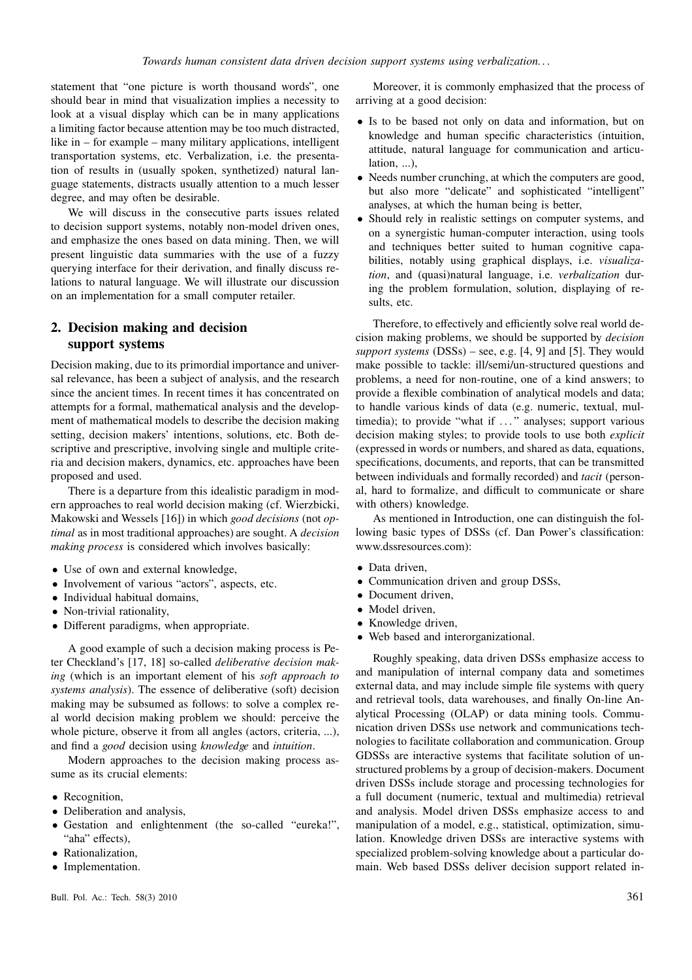statement that "one picture is worth thousand words", one should bear in mind that visualization implies a necessity to look at a visual display which can be in many applications a limiting factor because attention may be too much distracted, like in – for example – many military applications, intelligent transportation systems, etc. Verbalization, i.e. the presentation of results in (usually spoken, synthetized) natural language statements, distracts usually attention to a much lesser degree, and may often be desirable.

We will discuss in the consecutive parts issues related to decision support systems, notably non-model driven ones, and emphasize the ones based on data mining. Then, we will present linguistic data summaries with the use of a fuzzy querying interface for their derivation, and finally discuss relations to natural language. We will illustrate our discussion on an implementation for a small computer retailer.

## **2. Decision making and decision support systems**

Decision making, due to its primordial importance and universal relevance, has been a subject of analysis, and the research since the ancient times. In recent times it has concentrated on attempts for a formal, mathematical analysis and the development of mathematical models to describe the decision making setting, decision makers' intentions, solutions, etc. Both descriptive and prescriptive, involving single and multiple criteria and decision makers, dynamics, etc. approaches have been proposed and used.

There is a departure from this idealistic paradigm in modern approaches to real world decision making (cf. Wierzbicki, Makowski and Wessels [16]) in which *good decisions* (not *optimal* as in most traditional approaches) are sought. A *decision making process* is considered which involves basically:

- Use of own and external knowledge,
- Involvement of various "actors", aspects, etc.
- Individual habitual domains,
- Non-trivial rationality,
- Different paradigms, when appropriate.

A good example of such a decision making process is Peter Checkland's [17, 18] so-called *deliberative decision making* (which is an important element of his *soft approach to systems analysis*). The essence of deliberative (soft) decision making may be subsumed as follows: to solve a complex real world decision making problem we should: perceive the whole picture, observe it from all angles (actors, criteria, ...), and find a *good* decision using *knowledge* and *intuition*.

Modern approaches to the decision making process assume as its crucial elements:

- Recognition,
- Deliberation and analysis,
- Gestation and enlightenment (the so-called "eureka!", "aha" effects),
- Rationalization,
- Implementation.

Moreover, it is commonly emphasized that the process of arriving at a good decision:

- Is to be based not only on data and information, but on knowledge and human specific characteristics (intuition, attitude, natural language for communication and articulation, ...),
- Needs number crunching, at which the computers are good, but also more "delicate" and sophisticated "intelligent" analyses, at which the human being is better,
- Should rely in realistic settings on computer systems, and on a synergistic human-computer interaction, using tools and techniques better suited to human cognitive capabilities, notably using graphical displays, i.e. *visualization*, and (quasi)natural language, i.e. *verbalization* during the problem formulation, solution, displaying of results, etc.

Therefore, to effectively and efficiently solve real world decision making problems, we should be supported by *decision support systems* (DSSs) – see, e.g. [4, 9] and [5]. They would make possible to tackle: ill/semi/un-structured questions and problems, a need for non-routine, one of a kind answers; to provide a flexible combination of analytical models and data; to handle various kinds of data (e.g. numeric, textual, multimedia); to provide "what if ..." analyses; support various decision making styles; to provide tools to use both *explicit* (expressed in words or numbers, and shared as data, equations, specifications, documents, and reports, that can be transmitted between individuals and formally recorded) and *tacit* (personal, hard to formalize, and difficult to communicate or share with others) knowledge.

As mentioned in Introduction, one can distinguish the following basic types of DSSs (cf. Dan Power's classification: www.dssresources.com):

- Data driven,
- Communication driven and group DSSs,
- Document driven,
- Model driven.
- Knowledge driven,
- Web based and interorganizational.

Roughly speaking, data driven DSSs emphasize access to and manipulation of internal company data and sometimes external data, and may include simple file systems with query and retrieval tools, data warehouses, and finally On-line Analytical Processing (OLAP) or data mining tools. Communication driven DSSs use network and communications technologies to facilitate collaboration and communication. Group GDSSs are interactive systems that facilitate solution of unstructured problems by a group of decision-makers. Document driven DSSs include storage and processing technologies for a full document (numeric, textual and multimedia) retrieval and analysis. Model driven DSSs emphasize access to and manipulation of a model, e.g., statistical, optimization, simulation. Knowledge driven DSSs are interactive systems with specialized problem-solving knowledge about a particular domain. Web based DSSs deliver decision support related in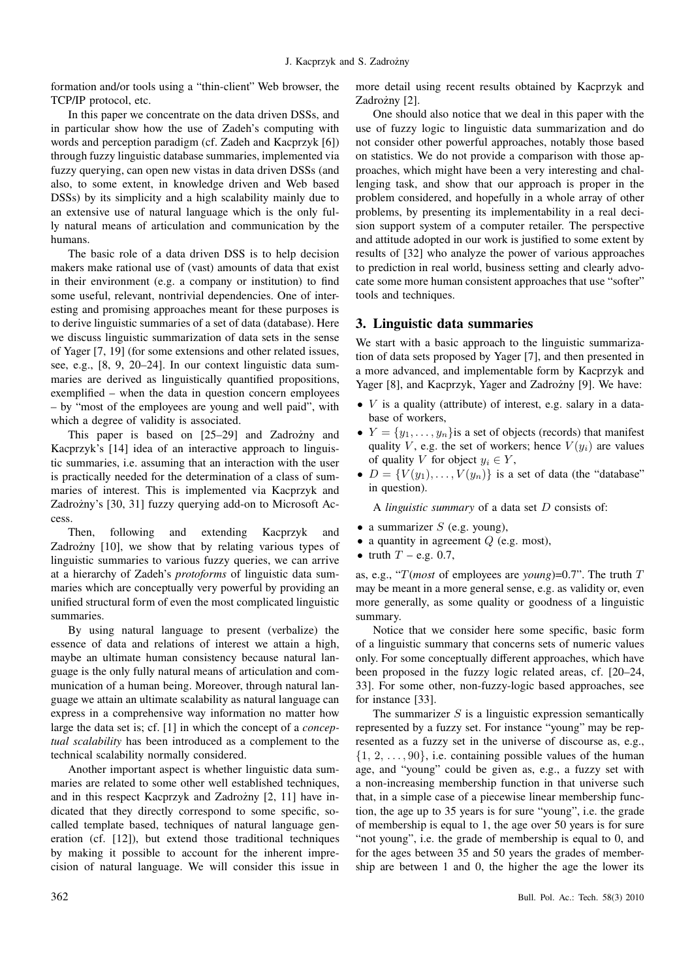formation and/or tools using a "thin-client" Web browser, the TCP/IP protocol, etc.

In this paper we concentrate on the data driven DSSs, and in particular show how the use of Zadeh's computing with words and perception paradigm (cf. Zadeh and Kacprzyk [6]) through fuzzy linguistic database summaries, implemented via fuzzy querying, can open new vistas in data driven DSSs (and also, to some extent, in knowledge driven and Web based DSSs) by its simplicity and a high scalability mainly due to an extensive use of natural language which is the only fully natural means of articulation and communication by the humans.

The basic role of a data driven DSS is to help decision makers make rational use of (vast) amounts of data that exist in their environment (e.g. a company or institution) to find some useful, relevant, nontrivial dependencies. One of interesting and promising approaches meant for these purposes is to derive linguistic summaries of a set of data (database). Here we discuss linguistic summarization of data sets in the sense of Yager [7, 19] (for some extensions and other related issues, see, e.g., [8, 9, 20–24]. In our context linguistic data summaries are derived as linguistically quantified propositions, exemplified – when the data in question concern employees – by "most of the employees are young and well paid", with which a degree of validity is associated.

This paper is based on [25–29] and Zadrożny and Kacprzyk's [14] idea of an interactive approach to linguistic summaries, i.e. assuming that an interaction with the user is practically needed for the determination of a class of summaries of interest. This is implemented via Kacprzyk and Zadrożny's [30, 31] fuzzy querying add-on to Microsoft Access.

Then, following and extending Kacprzyk and Zadrożny [10], we show that by relating various types of linguistic summaries to various fuzzy queries, we can arrive at a hierarchy of Zadeh's *protoforms* of linguistic data summaries which are conceptually very powerful by providing an unified structural form of even the most complicated linguistic summaries.

By using natural language to present (verbalize) the essence of data and relations of interest we attain a high, maybe an ultimate human consistency because natural language is the only fully natural means of articulation and communication of a human being. Moreover, through natural language we attain an ultimate scalability as natural language can express in a comprehensive way information no matter how large the data set is; cf. [1] in which the concept of a *conceptual scalability* has been introduced as a complement to the technical scalability normally considered.

Another important aspect is whether linguistic data summaries are related to some other well established techniques, and in this respect Kacprzyk and Zadrożny [2, 11] have indicated that they directly correspond to some specific, socalled template based, techniques of natural language generation (cf. [12]), but extend those traditional techniques by making it possible to account for the inherent imprecision of natural language. We will consider this issue in

more detail using recent results obtained by Kacprzyk and Zadrożny [2].

One should also notice that we deal in this paper with the use of fuzzy logic to linguistic data summarization and do not consider other powerful approaches, notably those based on statistics. We do not provide a comparison with those approaches, which might have been a very interesting and challenging task, and show that our approach is proper in the problem considered, and hopefully in a whole array of other problems, by presenting its implementability in a real decision support system of a computer retailer. The perspective and attitude adopted in our work is justified to some extent by results of [32] who analyze the power of various approaches to prediction in real world, business setting and clearly advocate some more human consistent approaches that use "softer" tools and techniques.

#### **3. Linguistic data summaries**

We start with a basic approach to the linguistic summarization of data sets proposed by Yager [7], and then presented in a more advanced, and implementable form by Kacprzyk and Yager [8], and Kacprzyk, Yager and Zadrożny [9]. We have:

- $V$  is a quality (attribute) of interest, e.g. salary in a database of workers,
- $Y = \{y_1, \ldots, y_n\}$  is a set of objects (records) that manifest quality V, e.g. the set of workers; hence  $V(y_i)$  are values of quality V for object  $y_i \in Y$ ,
- $D = \{V(y_1), \ldots, V(y_n)\}\$ is a set of data (the "database" in question).

A *linguistic summary* of a data set D consists of:

- a summarizer  $S$  (e.g. young),
- a quantity in agreement  $Q$  (e.g. most),
- truth  $T$  e.g. 0.7,

as, e.g., "T (*most* of employees are *young*)=0.7". The truth T may be meant in a more general sense, e.g. as validity or, even more generally, as some quality or goodness of a linguistic summary.

Notice that we consider here some specific, basic form of a linguistic summary that concerns sets of numeric values only. For some conceptually different approaches, which have been proposed in the fuzzy logic related areas, cf. [20–24, 33]. For some other, non-fuzzy-logic based approaches, see for instance [33].

The summarizer  $S$  is a linguistic expression semantically represented by a fuzzy set. For instance "young" may be represented as a fuzzy set in the universe of discourse as, e.g.,  $\{1, 2, \ldots, 90\}$ , i.e. containing possible values of the human age, and "young" could be given as, e.g., a fuzzy set with a non-increasing membership function in that universe such that, in a simple case of a piecewise linear membership function, the age up to 35 years is for sure "young", i.e. the grade of membership is equal to 1, the age over 50 years is for sure "not young", i.e. the grade of membership is equal to 0, and for the ages between 35 and 50 years the grades of membership are between 1 and 0, the higher the age the lower its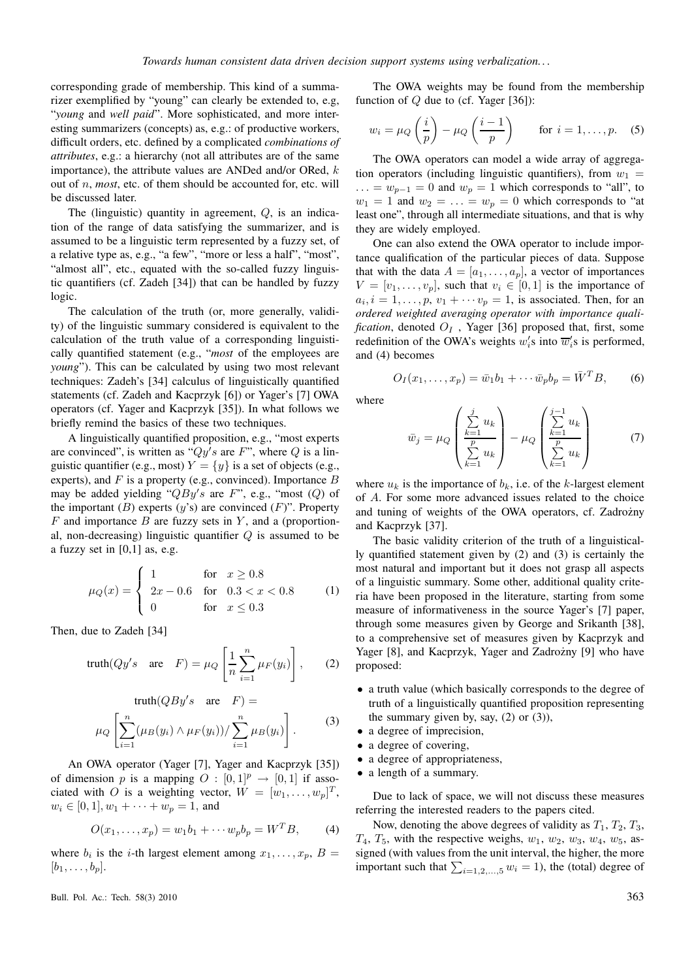corresponding grade of membership. This kind of a summarizer exemplified by "young" can clearly be extended to, e.g, "*young* and *well paid*". More sophisticated, and more interesting summarizers (concepts) as, e.g.: of productive workers, difficult orders, etc. defined by a complicated *combinations of attributes*, e.g.: a hierarchy (not all attributes are of the same importance), the attribute values are ANDed and/or ORed,  $k$ out of n, *most*, etc. of them should be accounted for, etc. will be discussed later.

The (linguistic) quantity in agreement,  $Q$ , is an indication of the range of data satisfying the summarizer, and is assumed to be a linguistic term represented by a fuzzy set, of a relative type as, e.g., "a few", "more or less a half", "most", "almost all", etc., equated with the so-called fuzzy linguistic quantifiers (cf. Zadeh [34]) that can be handled by fuzzy logic.

The calculation of the truth (or, more generally, validity) of the linguistic summary considered is equivalent to the calculation of the truth value of a corresponding linguistically quantified statement (e.g., "*most* of the employees are *young*"). This can be calculated by using two most relevant techniques: Zadeh's [34] calculus of linguistically quantified statements (cf. Zadeh and Kacprzyk [6]) or Yager's [7] OWA operators (cf. Yager and Kacprzyk [35]). In what follows we briefly remind the basics of these two techniques.

A linguistically quantified proposition, e.g., "most experts are convinced", is written as " $\hat{Q}y$ 's are F", where  $Q$  is a linguistic quantifier (e.g., most)  $Y = \{y\}$  is a set of objects (e.g., experts), and  $F$  is a property (e.g., convinced). Importance  $B$ may be added yielding " $QBy's$  are F", e.g., "most  $(Q)$  of the important  $(B)$  experts  $(y's)$  are convinced  $(F)$ ". Property  $F$  and importance  $B$  are fuzzy sets in  $Y$ , and a (proportional, non-decreasing) linguistic quantifier  $Q$  is assumed to be a fuzzy set in [0,1] as, e.g.

$$
\mu_Q(x) = \begin{cases} 1 & \text{for } x \ge 0.8 \\ 2x - 0.6 & \text{for } 0.3 < x < 0.8 \\ 0 & \text{for } x \le 0.3 \end{cases}
$$
 (1)

Then, due to Zadeh [34]

$$
truth(Qy's \text{ are } F) = \mu_Q \left[ \frac{1}{n} \sum_{i=1}^n \mu_F(y_i) \right], \qquad (2)
$$

$$
truth(QBy's are F) =
$$
  

$$
\mu_Q \left[ \sum_{i=1}^n (\mu_B(y_i) \wedge \mu_F(y_i)) / \sum_{i=1}^n \mu_B(y_i) \right].
$$
 (3)

An OWA operator (Yager [7], Yager and Kacprzyk [35]) of dimension p is a mapping  $O : [0,1]^p \rightarrow [0,1]$  if associated with O is a weighting vector,  $W = [w_1, \dots, w_p]^T$ ,  $w_i \in [0, 1], w_1 + \cdots + w_p = 1$ , and

 $t$ unth $(\bigcap B_x)^t$ 

$$
O(x_1, ..., x_p) = w_1b_1 + \cdots w_pb_p = W^T B, \qquad (4)
$$

where  $b_i$  is the *i*-th largest element among  $x_1, \ldots, x_p$ ,  $B =$  $[b_1, \ldots, b_p].$ 

Bull. Pol. Ac.: Tech. 58(3) 2010 363

The OWA weights may be found from the membership function of  $Q$  due to (cf. Yager [36]):

$$
w_i = \mu_Q\left(\frac{i}{p}\right) - \mu_Q\left(\frac{i-1}{p}\right) \quad \text{for } i = 1, \dots, p. \quad (5)
$$

The OWA operators can model a wide array of aggregation operators (including linguistic quantifiers), from  $w_1 =$  $\ldots = w_{p-1} = 0$  and  $w_p = 1$  which corresponds to "all", to  $w_1 = 1$  and  $w_2 = \ldots = w_p = 0$  which corresponds to "at least one", through all intermediate situations, and that is why they are widely employed.

One can also extend the OWA operator to include importance qualification of the particular pieces of data. Suppose that with the data  $A = [a_1, \ldots, a_p]$ , a vector of importances  $V = [v_1, \ldots, v_p]$ , such that  $v_i \in [0, 1]$  is the importance of  $a_i, i = 1, \ldots, p, v_1 + \cdots v_p = 1$ , is associated. Then, for an *ordered weighted averaging operator with importance qualification*, denoted  $O<sub>I</sub>$ , Yager [36] proposed that, first, some redefinition of the OWA's weights  $w_i$ 's into  $\overline{w}_i$ 's is performed, and (4) becomes

$$
O_I(x_1,\ldots,x_p) = \bar{w}_1b_1 + \cdots \bar{w}_pb_p = \bar{W}^T B,\qquad(6)
$$

where

$$
\bar{w}_j = \mu_Q \left( \frac{\sum_{k=1}^j u_k}{\sum_{k=1}^p u_k} \right) - \mu_Q \left( \frac{\sum_{k=1}^{j-1} u_k}{\sum_{k=1}^p u_k} \right) \tag{7}
$$

where  $u_k$  is the importance of  $b_k$ , i.e. of the k-largest element of A. For some more advanced issues related to the choice and tuning of weights of the OWA operators, cf. Zadrożny and Kacprzyk [37].

The basic validity criterion of the truth of a linguistically quantified statement given by (2) and (3) is certainly the most natural and important but it does not grasp all aspects of a linguistic summary. Some other, additional quality criteria have been proposed in the literature, starting from some measure of informativeness in the source Yager's [7] paper, through some measures given by George and Srikanth [38], to a comprehensive set of measures given by Kacprzyk and Yager [8], and Kacprzyk, Yager and Zadrożny [9] who have proposed:

- a truth value (which basically corresponds to the degree of truth of a linguistically quantified proposition representing the summary given by, say,  $(2)$  or  $(3)$ ),
- a degree of imprecision,
- a degree of covering,
- a degree of appropriateness,
- a length of a summary.

Due to lack of space, we will not discuss these measures referring the interested readers to the papers cited.

Now, denoting the above degrees of validity as  $T_1, T_2, T_3$ ,  $T_4$ ,  $T_5$ , with the respective weighs,  $w_1$ ,  $w_2$ ,  $w_3$ ,  $w_4$ ,  $w_5$ , assigned (with values from the unit interval, the higher, the more important such that  $\sum_{i=1,2,...,5} w_i = 1$ ), the (total) degree of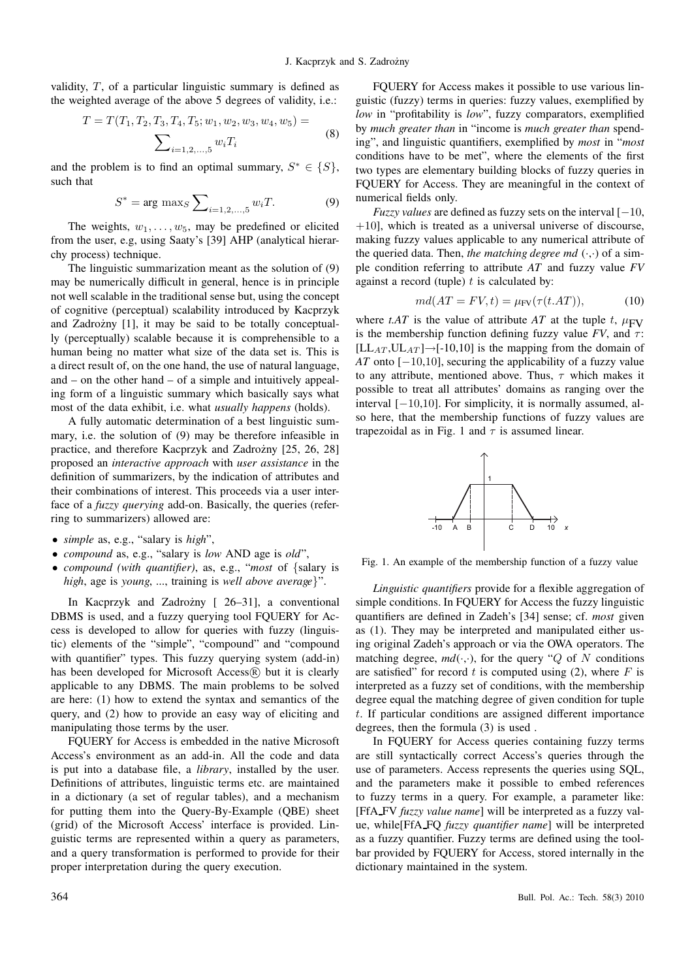validity,  $T$ , of a particular linguistic summary is defined as the weighted average of the above 5 degrees of validity, i.e.:

$$
T = T(T_1, T_2, T_3, T_4, T_5; w_1, w_2, w_3, w_4, w_5) = \sum_{i=1,2,\dots,5} w_i T_i
$$
\n(8)

and the problem is to find an optimal summary,  $S^* \in \{S\}$ , such that

$$
S^* = \arg \max_{S} \sum_{i=1,2,\dots,5} w_i T.
$$
 (9)

The weights,  $w_1, \ldots, w_5$ , may be predefined or elicited from the user, e.g, using Saaty's [39] AHP (analytical hierarchy process) technique.

The linguistic summarization meant as the solution of (9) may be numerically difficult in general, hence is in principle not well scalable in the traditional sense but, using the concept of cognitive (perceptual) scalability introduced by Kacprzyk and Zadrożny [1], it may be said to be totally conceptually (perceptually) scalable because it is comprehensible to a human being no matter what size of the data set is. This is a direct result of, on the one hand, the use of natural language, and – on the other hand – of a simple and intuitively appealing form of a linguistic summary which basically says what most of the data exhibit, i.e. what *usually happens* (holds).

A fully automatic determination of a best linguistic summary, i.e. the solution of (9) may be therefore infeasible in practice, and therefore Kacprzyk and Zadrożny [25, 26, 28] proposed an *interactive approach* with *user assistance* in the definition of summarizers, by the indication of attributes and their combinations of interest. This proceeds via a user interface of a *fuzzy querying* add-on. Basically, the queries (referring to summarizers) allowed are:

- *simple* as, e.g., "salary is *high*",
- *compound* as, e.g., "salary is *low* AND age is *old*",
- *compound (with quantifier)*, as, e.g., "*most* of {salary is *high*, age is *young*, ..., training is *well above average*}".

In Kacprzyk and Zadrożny [ 26–31], a conventional DBMS is used, and a fuzzy querying tool FQUERY for Access is developed to allow for queries with fuzzy (linguistic) elements of the "simple", "compound" and "compound with quantifier" types. This fuzzy querying system (add-in) has been developed for Microsoft Access $(\overline{R})$  but it is clearly applicable to any DBMS. The main problems to be solved are here: (1) how to extend the syntax and semantics of the query, and (2) how to provide an easy way of eliciting and manipulating those terms by the user.

FQUERY for Access is embedded in the native Microsoft Access's environment as an add-in. All the code and data is put into a database file, a *library*, installed by the user. Definitions of attributes, linguistic terms etc. are maintained in a dictionary (a set of regular tables), and a mechanism for putting them into the Query-By-Example (QBE) sheet (grid) of the Microsoft Access' interface is provided. Linguistic terms are represented within a query as parameters, and a query transformation is performed to provide for their proper interpretation during the query execution.

FQUERY for Access makes it possible to use various linguistic (fuzzy) terms in queries: fuzzy values, exemplified by *low* in "profitability is *low*", fuzzy comparators, exemplified by *much greater than* in "income is *much greater than* spending", and linguistic quantifiers, exemplified by *most* in "*most* conditions have to be met", where the elements of the first two types are elementary building blocks of fuzzy queries in FQUERY for Access. They are meaningful in the context of numerical fields only.

*Fuzzy values* are defined as fuzzy sets on the interval [−10,  $+10$ ], which is treated as a universal universe of discourse, making fuzzy values applicable to any numerical attribute of the queried data. Then, *the matching degree md*  $(\cdot, \cdot)$  of a simple condition referring to attribute *AT* and fuzzy value *FV* against a record (tuple)  $t$  is calculated by:

$$
md(AT = FV, t) = \mu_{\text{FV}}(\tau(t.AT)), \tag{10}
$$

where *t.AT* is the value of attribute *AT* at the tuple *t*,  $\mu_{\text{FV}}$ is the membership function defining fuzzy value  $FV$ , and  $\tau$ :  $[LL_{AT}, UL_{AT}] \rightarrow [-10,10]$  is the mapping from the domain of *AT* onto [−10,10], securing the applicability of a fuzzy value to any attribute, mentioned above. Thus,  $\tau$  which makes it possible to treat all attributes' domains as ranging over the interval  $[-10,10]$ . For simplicity, it is normally assumed, also here, that the membership functions of fuzzy values are trapezoidal as in Fig. 1 and  $\tau$  is assumed linear.



Fig. 1. An example of the membership function of a fuzzy value

*Linguistic quantifiers* provide for a flexible aggregation of simple conditions. In FQUERY for Access the fuzzy linguistic quantifiers are defined in Zadeh's [34] sense; cf. *most* given as (1). They may be interpreted and manipulated either using original Zadeh's approach or via the OWA operators. The matching degree,  $md(\cdot,\cdot)$ , for the query "Q of N conditions" are satisfied" for record t is computed using (2), where  $F$  is interpreted as a fuzzy set of conditions, with the membership degree equal the matching degree of given condition for tuple t. If particular conditions are assigned different importance degrees, then the formula (3) is used .

In FQUERY for Access queries containing fuzzy terms are still syntactically correct Access's queries through the use of parameters. Access represents the queries using SQL, and the parameters make it possible to embed references to fuzzy terms in a query. For example, a parameter like: [FfA FV *fuzzy value name*] will be interpreted as a fuzzy value, while[FfA FQ *fuzzy quantifier name*] will be interpreted as a fuzzy quantifier. Fuzzy terms are defined using the toolbar provided by FQUERY for Access, stored internally in the dictionary maintained in the system.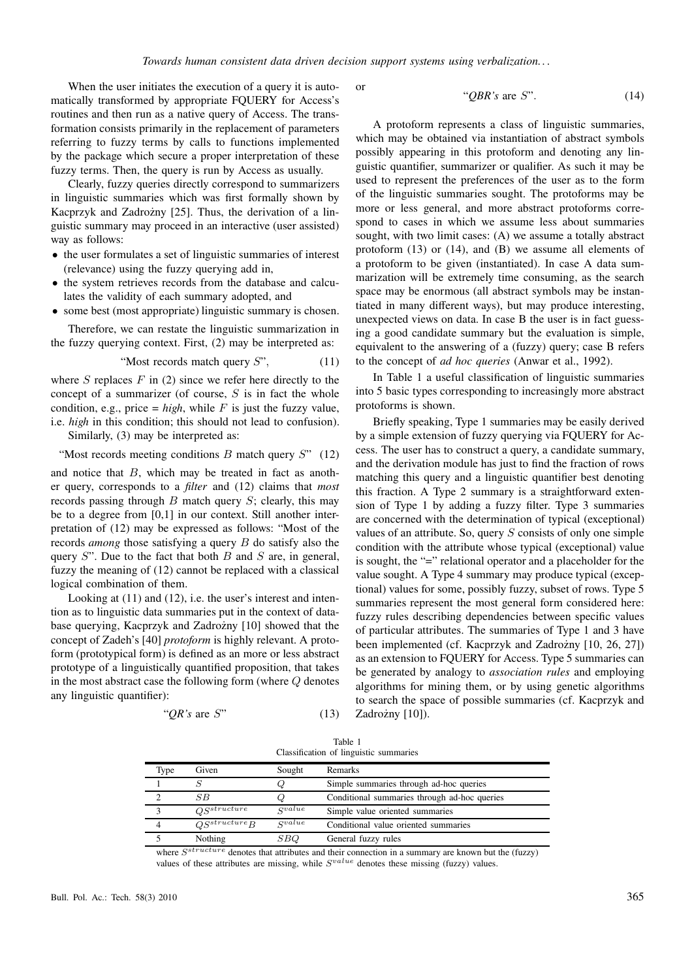or

When the user initiates the execution of a query it is automatically transformed by appropriate FQUERY for Access's routines and then run as a native query of Access. The transformation consists primarily in the replacement of parameters referring to fuzzy terms by calls to functions implemented by the package which secure a proper interpretation of these fuzzy terms. Then, the query is run by Access as usually.

Clearly, fuzzy queries directly correspond to summarizers in linguistic summaries which was first formally shown by Kacprzyk and Zadrożny [25]. Thus, the derivation of a linguistic summary may proceed in an interactive (user assisted) way as follows:

- the user formulates a set of linguistic summaries of interest (relevance) using the fuzzy querying add in,
- the system retrieves records from the database and calculates the validity of each summary adopted, and
- some best (most appropriate) linguistic summary is chosen.

Therefore, we can restate the linguistic summarization in the fuzzy querying context. First, (2) may be interpreted as:

$$
\text{``Most records match query } S\text{''},\tag{11}
$$

where  $S$  replaces  $F$  in (2) since we refer here directly to the concept of a summarizer (of course,  $S$  is in fact the whole condition, e.g., price  $= high$ , while F is just the fuzzy value, i.e. *high* in this condition; this should not lead to confusion).

Similarly, (3) may be interpreted as:

"Most records meeting conditions B match query  $S$ " (12)

and notice that B, which may be treated in fact as another query, corresponds to a *filter* and (12) claims that *most* records passing through  $B$  match query  $S$ ; clearly, this may be to a degree from [0,1] in our context. Still another interpretation of (12) may be expressed as follows: "Most of the records *among* those satisfying a query B do satisfy also the query  $S$ ". Due to the fact that both  $B$  and  $S$  are, in general, fuzzy the meaning of (12) cannot be replaced with a classical logical combination of them.

Looking at  $(11)$  and  $(12)$ , i.e. the user's interest and intention as to linguistic data summaries put in the context of database querying, Kacprzyk and Zadrożny [10] showed that the concept of Zadeh's [40] *protoform* is highly relevant. A protoform (prototypical form) is defined as an more or less abstract prototype of a linguistically quantified proposition, that takes in the most abstract case the following form (where  $Q$  denotes any linguistic quantifier):

"
$$
QR
$$
's are  $S$ " (13)

"
$$
QBR
$$
's are S". (14)

A protoform represents a class of linguistic summaries, which may be obtained via instantiation of abstract symbols possibly appearing in this protoform and denoting any linguistic quantifier, summarizer or qualifier. As such it may be used to represent the preferences of the user as to the form of the linguistic summaries sought. The protoforms may be more or less general, and more abstract protoforms correspond to cases in which we assume less about summaries sought, with two limit cases: (A) we assume a totally abstract protoform (13) or (14), and (B) we assume all elements of a protoform to be given (instantiated). In case A data summarization will be extremely time consuming, as the search space may be enormous (all abstract symbols may be instantiated in many different ways), but may produce interesting, unexpected views on data. In case B the user is in fact guessing a good candidate summary but the evaluation is simple, equivalent to the answering of a (fuzzy) query; case B refers to the concept of *ad hoc queries* (Anwar et al., 1992).

In Table 1 a useful classification of linguistic summaries into 5 basic types corresponding to increasingly more abstract protoforms is shown.

Briefly speaking, Type 1 summaries may be easily derived by a simple extension of fuzzy querying via FQUERY for Access. The user has to construct a query, a candidate summary, and the derivation module has just to find the fraction of rows matching this query and a linguistic quantifier best denoting this fraction. A Type 2 summary is a straightforward extension of Type 1 by adding a fuzzy filter. Type 3 summaries are concerned with the determination of typical (exceptional) values of an attribute. So, query  $S$  consists of only one simple condition with the attribute whose typical (exceptional) value is sought, the "=" relational operator and a placeholder for the value sought. A Type 4 summary may produce typical (exceptional) values for some, possibly fuzzy, subset of rows. Type 5 summaries represent the most general form considered here: fuzzy rules describing dependencies between specific values of particular attributes. The summaries of Type 1 and 3 have been implemented (cf. Kacprzyk and Zadrożny [10, 26, 27]) as an extension to FQUERY for Access. Type 5 summaries can be generated by analogy to *association rules* and employing algorithms for mining them, or by using genetic algorithms to search the space of possible summaries (cf. Kacprzyk and Zadrożny [10]).

| Table 1                                |  |  |  |
|----------------------------------------|--|--|--|
| Classification of linguistic summaries |  |  |  |

| Type | Given                         | Sought | Remarks                                      |
|------|-------------------------------|--------|----------------------------------------------|
|      |                               |        | Simple summaries through ad-hoc queries      |
|      | SB                            |        | Conditional summaries through ad-hoc queries |
|      | $OS$ <sup>structure</sup>     | Cvalue | Simple value oriented summaries              |
|      | $OS$ <sup>structure</sup> $B$ | Cvalue | Conditional value oriented summaries         |
|      | Nothing                       | SBQ    | General fuzzy rules                          |

where  $S^{structure}$  denotes that attributes and their connection in a summary are known but the (fuzzy) values of these attributes are missing, while  $S^{value}$  denotes these missing (fuzzy) values.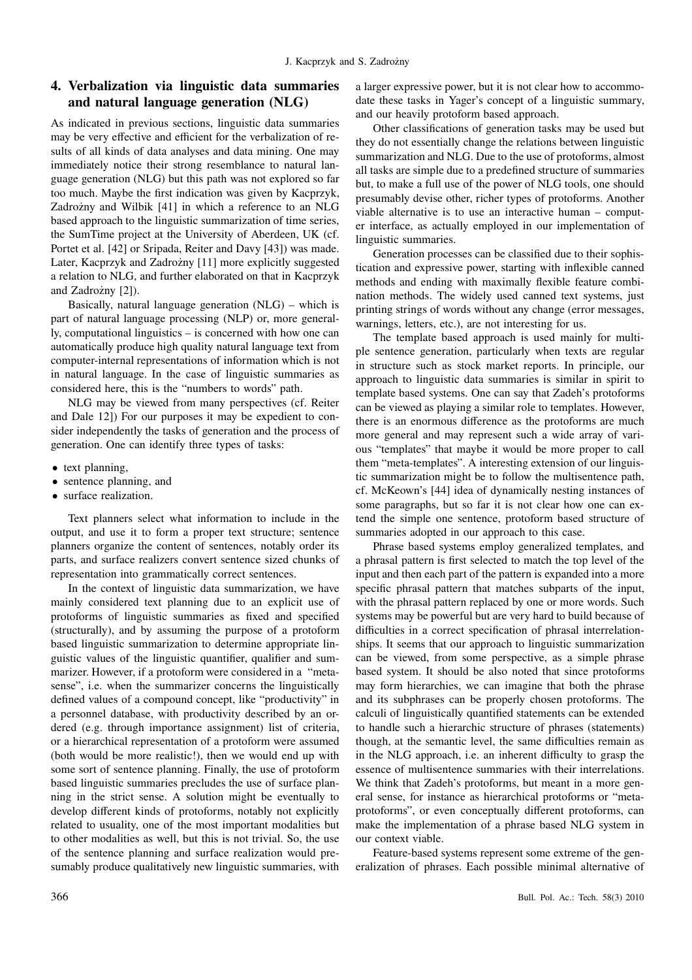## **4. Verbalization via linguistic data summaries and natural language generation (NLG)**

As indicated in previous sections, linguistic data summaries may be very effective and efficient for the verbalization of results of all kinds of data analyses and data mining. One may immediately notice their strong resemblance to natural language generation (NLG) but this path was not explored so far too much. Maybe the first indication was given by Kacprzyk, Zadrożny and Wilbik [41] in which a reference to an NLG based approach to the linguistic summarization of time series, the SumTime project at the University of Aberdeen, UK (cf. Portet et al. [42] or Sripada, Reiter and Davy [43]) was made. Later, Kacprzyk and Zadrożny [11] more explicitly suggested a relation to NLG, and further elaborated on that in Kacprzyk and Zadrożny [2]).

Basically, natural language generation (NLG) – which is part of natural language processing (NLP) or, more generally, computational linguistics – is concerned with how one can automatically produce high quality natural language text from computer-internal representations of information which is not in natural language. In the case of linguistic summaries as considered here, this is the "numbers to words" path.

NLG may be viewed from many perspectives (cf. Reiter and Dale 12]) For our purposes it may be expedient to consider independently the tasks of generation and the process of generation. One can identify three types of tasks:

- text planning,
- sentence planning, and
- surface realization.

Text planners select what information to include in the output, and use it to form a proper text structure; sentence planners organize the content of sentences, notably order its parts, and surface realizers convert sentence sized chunks of representation into grammatically correct sentences.

In the context of linguistic data summarization, we have mainly considered text planning due to an explicit use of protoforms of linguistic summaries as fixed and specified (structurally), and by assuming the purpose of a protoform based linguistic summarization to determine appropriate linguistic values of the linguistic quantifier, qualifier and summarizer. However, if a protoform were considered in a "metasense", i.e. when the summarizer concerns the linguistically defined values of a compound concept, like "productivity" in a personnel database, with productivity described by an ordered (e.g. through importance assignment) list of criteria, or a hierarchical representation of a protoform were assumed (both would be more realistic!), then we would end up with some sort of sentence planning. Finally, the use of protoform based linguistic summaries precludes the use of surface planning in the strict sense. A solution might be eventually to develop different kinds of protoforms, notably not explicitly related to usuality, one of the most important modalities but to other modalities as well, but this is not trivial. So, the use of the sentence planning and surface realization would presumably produce qualitatively new linguistic summaries, with

a larger expressive power, but it is not clear how to accommodate these tasks in Yager's concept of a linguistic summary, and our heavily protoform based approach.

Other classifications of generation tasks may be used but they do not essentially change the relations between linguistic summarization and NLG. Due to the use of protoforms, almost all tasks are simple due to a predefined structure of summaries but, to make a full use of the power of NLG tools, one should presumably devise other, richer types of protoforms. Another viable alternative is to use an interactive human – computer interface, as actually employed in our implementation of linguistic summaries.

Generation processes can be classified due to their sophistication and expressive power, starting with inflexible canned methods and ending with maximally flexible feature combination methods. The widely used canned text systems, just printing strings of words without any change (error messages, warnings, letters, etc.), are not interesting for us.

The template based approach is used mainly for multiple sentence generation, particularly when texts are regular in structure such as stock market reports. In principle, our approach to linguistic data summaries is similar in spirit to template based systems. One can say that Zadeh's protoforms can be viewed as playing a similar role to templates. However, there is an enormous difference as the protoforms are much more general and may represent such a wide array of various "templates" that maybe it would be more proper to call them "meta-templates". A interesting extension of our linguistic summarization might be to follow the multisentence path, cf. McKeown's [44] idea of dynamically nesting instances of some paragraphs, but so far it is not clear how one can extend the simple one sentence, protoform based structure of summaries adopted in our approach to this case.

Phrase based systems employ generalized templates, and a phrasal pattern is first selected to match the top level of the input and then each part of the pattern is expanded into a more specific phrasal pattern that matches subparts of the input, with the phrasal pattern replaced by one or more words. Such systems may be powerful but are very hard to build because of difficulties in a correct specification of phrasal interrelationships. It seems that our approach to linguistic summarization can be viewed, from some perspective, as a simple phrase based system. It should be also noted that since protoforms may form hierarchies, we can imagine that both the phrase and its subphrases can be properly chosen protoforms. The calculi of linguistically quantified statements can be extended to handle such a hierarchic structure of phrases (statements) though, at the semantic level, the same difficulties remain as in the NLG approach, i.e. an inherent difficulty to grasp the essence of multisentence summaries with their interrelations. We think that Zadeh's protoforms, but meant in a more general sense, for instance as hierarchical protoforms or "metaprotoforms", or even conceptually different protoforms, can make the implementation of a phrase based NLG system in our context viable.

Feature-based systems represent some extreme of the generalization of phrases. Each possible minimal alternative of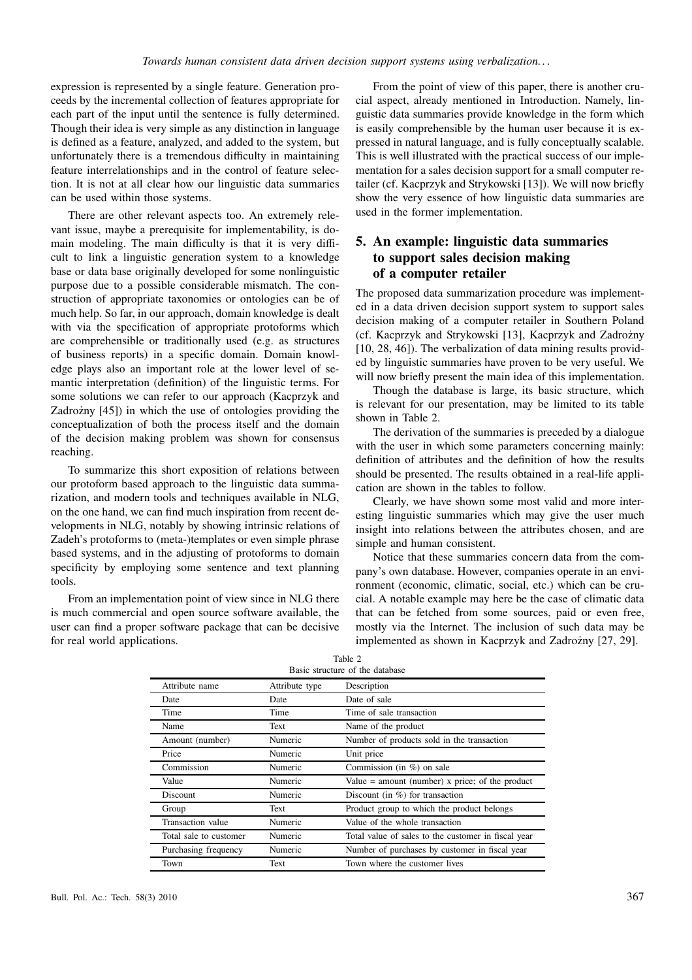expression is represented by a single feature. Generation proceeds by the incremental collection of features appropriate for each part of the input until the sentence is fully determined. Though their idea is very simple as any distinction in language is defined as a feature, analyzed, and added to the system, but unfortunately there is a tremendous difficulty in maintaining feature interrelationships and in the control of feature selection. It is not at all clear how our linguistic data summaries can be used within those systems.

There are other relevant aspects too. An extremely relevant issue, maybe a prerequisite for implementability, is domain modeling. The main difficulty is that it is very difficult to link a linguistic generation system to a knowledge base or data base originally developed for some nonlinguistic purpose due to a possible considerable mismatch. The construction of appropriate taxonomies or ontologies can be of much help. So far, in our approach, domain knowledge is dealt with via the specification of appropriate protoforms which are comprehensible or traditionally used (e.g. as structures of business reports) in a specific domain. Domain knowledge plays also an important role at the lower level of semantic interpretation (definition) of the linguistic terms. For some solutions we can refer to our approach (Kacprzyk and Zadrożny [45]) in which the use of ontologies providing the conceptualization of both the process itself and the domain of the decision making problem was shown for consensus reaching.

To summarize this short exposition of relations between our protoform based approach to the linguistic data summarization, and modern tools and techniques available in NLG, on the one hand, we can find much inspiration from recent developments in NLG, notably by showing intrinsic relations of Zadeh's protoforms to (meta-)templates or even simple phrase based systems, and in the adjusting of protoforms to domain specificity by employing some sentence and text planning tools.

From an implementation point of view since in NLG there is much commercial and open source software available, the user can find a proper software package that can be decisive for real world applications.

From the point of view of this paper, there is another crucial aspect, already mentioned in Introduction. Namely, linguistic data summaries provide knowledge in the form which is easily comprehensible by the human user because it is expressed in natural language, and is fully conceptually scalable. This is well illustrated with the practical success of our implementation for a sales decision support for a small computer retailer (cf. Kacprzyk and Strykowski [13]). We will now briefly show the very essence of how linguistic data summaries are used in the former implementation.

## **5. An example: linguistic data summaries to support sales decision making of a computer retailer**

The proposed data summarization procedure was implemented in a data driven decision support system to support sales decision making of a computer retailer in Southern Poland (cf. Kacprzyk and Strykowski [13], Kacprzyk and Zadrożny [10, 28, 46]). The verbalization of data mining results provided by linguistic summaries have proven to be very useful. We will now briefly present the main idea of this implementation.

Though the database is large, its basic structure, which is relevant for our presentation, may be limited to its table shown in Table 2.

The derivation of the summaries is preceded by a dialogue with the user in which some parameters concerning mainly: definition of attributes and the definition of how the results should be presented. The results obtained in a real-life application are shown in the tables to follow.

Clearly, we have shown some most valid and more interesting linguistic summaries which may give the user much insight into relations between the attributes chosen, and are simple and human consistent.

Notice that these summaries concern data from the company's own database. However, companies operate in an environment (economic, climatic, social, etc.) which can be crucial. A notable example may here be the case of climatic data that can be fetched from some sources, paid or even free, mostly via the Internet. The inclusion of such data may be implemented as shown in Kacprzyk and Zadrożny [27, 29].

| Dasit structure of the database |                |                                                     |  |
|---------------------------------|----------------|-----------------------------------------------------|--|
| Attribute name                  | Attribute type | Description                                         |  |
| Date                            | Date           | Date of sale                                        |  |
| Time                            | Time           | Time of sale transaction                            |  |
| Name                            | Text           | Name of the product                                 |  |
| Amount (number)                 | Numeric        | Number of products sold in the transaction          |  |
| Price                           | Numeric        | Unit price                                          |  |
| Commission                      | Numeric        | Commission (in $\%$ ) on sale                       |  |
| Value                           | Numeric        | Value $=$ amount (number) x price; of the product   |  |
| <b>Discount</b>                 | Numeric        | Discount (in $\%$ ) for transaction                 |  |
| Group                           | Text           | Product group to which the product belongs          |  |
| Transaction value               | Numeric        | Value of the whole transaction                      |  |
| Total sale to customer          | Numeric        | Total value of sales to the customer in fiscal year |  |
| Purchasing frequency            | Numeric        | Number of purchases by customer in fiscal year      |  |
| Town                            | Text           | Town where the customer lives                       |  |

| Table 2 |                                 |  |  |
|---------|---------------------------------|--|--|
|         | Basic structure of the database |  |  |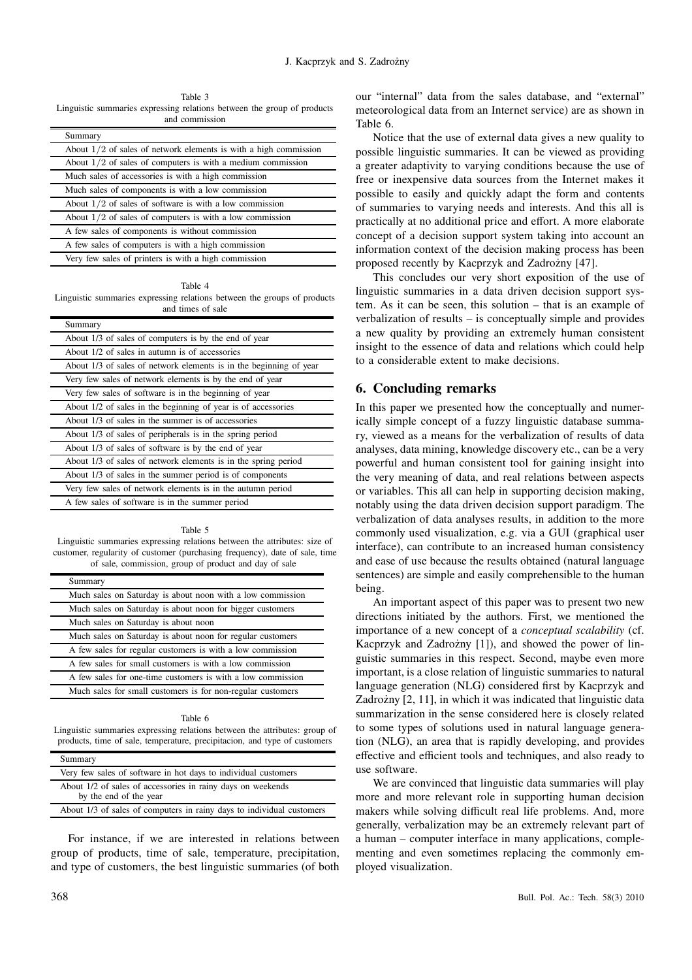Table 3 Linguistic summaries expressing relations between the group of products and commission

| Summary                                                            |
|--------------------------------------------------------------------|
| About $1/2$ of sales of network elements is with a high commission |
| About $1/2$ of sales of computers is with a medium commission      |
| Much sales of accessories is with a high commission                |
| Much sales of components is with a low commission                  |
| About $1/2$ of sales of software is with a low commission          |
| About $1/2$ of sales of computers is with a low commission         |
| A few sales of components is without commission                    |
| A few sales of computers is with a high commission                 |
| Very few sales of printers is with a high commission               |

Table 4 Linguistic summaries expressing relations between the groups of products and times of sale

| Summary                                                            |
|--------------------------------------------------------------------|
| About 1/3 of sales of computers is by the end of year              |
| About 1/2 of sales in autumn is of accessories                     |
| About 1/3 of sales of network elements is in the beginning of year |
| Very few sales of network elements is by the end of year           |
| Very few sales of software is in the beginning of year             |
| About 1/2 of sales in the beginning of year is of accessories      |
| About 1/3 of sales in the summer is of accessories                 |
| About 1/3 of sales of peripherals is in the spring period          |
| About 1/3 of sales of software is by the end of year               |
| About 1/3 of sales of network elements is in the spring period     |
| About 1/3 of sales in the summer period is of components           |
| Very few sales of network elements is in the autumn period         |
| A few sales of software is in the summer period                    |

#### Table 5

Linguistic summaries expressing relations between the attributes: size of customer, regularity of customer (purchasing frequency), date of sale, time of sale, commission, group of product and day of sale

| Summary                                                     |
|-------------------------------------------------------------|
| Much sales on Saturday is about noon with a low commission  |
| Much sales on Saturday is about noon for bigger customers   |
| Much sales on Saturday is about noon                        |
| Much sales on Saturday is about noon for regular customers  |
| A few sales for regular customers is with a low commission  |
| A few sales for small customers is with a low commission    |
| A few sales for one-time customers is with a low commission |
| Much sales for small customers is for non-regular customers |

#### Table 6

Linguistic summaries expressing relations between the attributes: group of products, time of sale, temperature, precipitacion, and type of customers

| Summary                                                                               |  |
|---------------------------------------------------------------------------------------|--|
| Very few sales of software in hot days to individual customers                        |  |
| About 1/2 of sales of accessories in rainy days on weekends<br>by the end of the year |  |
| About 1/3 of sales of computers in rainy days to individual customers                 |  |

For instance, if we are interested in relations between group of products, time of sale, temperature, precipitation, and type of customers, the best linguistic summaries (of both our "internal" data from the sales database, and "external" meteorological data from an Internet service) are as shown in Table 6.

Notice that the use of external data gives a new quality to possible linguistic summaries. It can be viewed as providing a greater adaptivity to varying conditions because the use of free or inexpensive data sources from the Internet makes it possible to easily and quickly adapt the form and contents of summaries to varying needs and interests. And this all is practically at no additional price and effort. A more elaborate concept of a decision support system taking into account an information context of the decision making process has been proposed recently by Kacprzyk and Zadrożny [47].

This concludes our very short exposition of the use of linguistic summaries in a data driven decision support system. As it can be seen, this solution – that is an example of verbalization of results – is conceptually simple and provides a new quality by providing an extremely human consistent insight to the essence of data and relations which could help to a considerable extent to make decisions.

#### **6. Concluding remarks**

In this paper we presented how the conceptually and numerically simple concept of a fuzzy linguistic database summary, viewed as a means for the verbalization of results of data analyses, data mining, knowledge discovery etc., can be a very powerful and human consistent tool for gaining insight into the very meaning of data, and real relations between aspects or variables. This all can help in supporting decision making, notably using the data driven decision support paradigm. The verbalization of data analyses results, in addition to the more commonly used visualization, e.g. via a GUI (graphical user interface), can contribute to an increased human consistency and ease of use because the results obtained (natural language sentences) are simple and easily comprehensible to the human being.

An important aspect of this paper was to present two new directions initiated by the authors. First, we mentioned the importance of a new concept of a *conceptual scalability* (cf. Kacprzyk and Zadrożny [1]), and showed the power of linguistic summaries in this respect. Second, maybe even more important, is a close relation of linguistic summaries to natural language generation (NLG) considered first by Kacprzyk and Zadrożny [2, 11], in which it was indicated that linguistic data summarization in the sense considered here is closely related to some types of solutions used in natural language generation (NLG), an area that is rapidly developing, and provides effective and efficient tools and techniques, and also ready to use software.

We are convinced that linguistic data summaries will play more and more relevant role in supporting human decision makers while solving difficult real life problems. And, more generally, verbalization may be an extremely relevant part of a human – computer interface in many applications, complementing and even sometimes replacing the commonly employed visualization.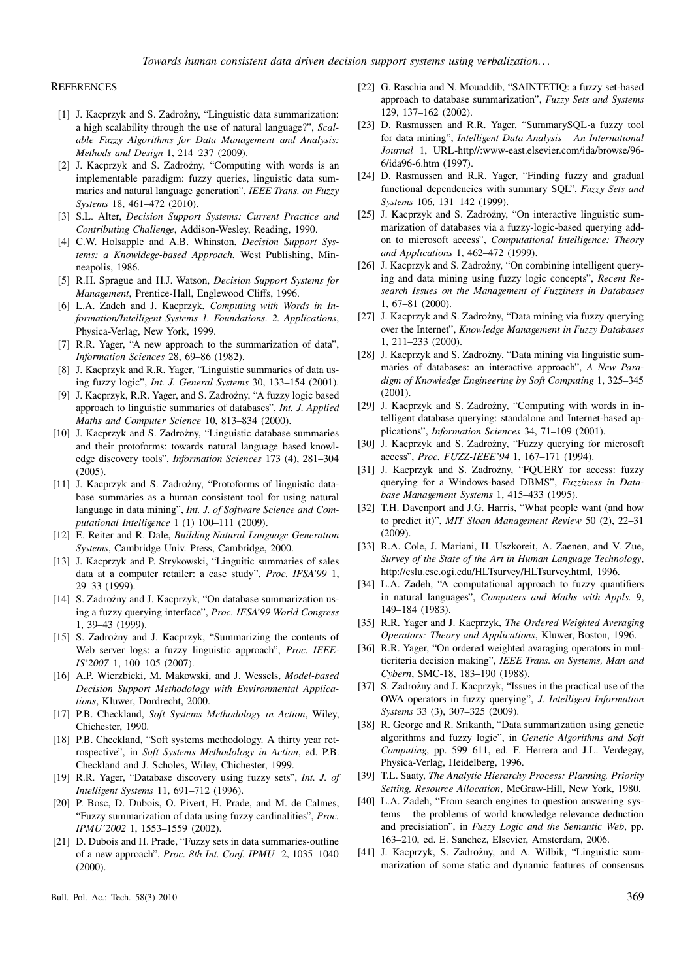#### **REFERENCES**

- [1] J. Kacprzyk and S. Zadrożny, "Linguistic data summarization: a high scalability through the use of natural language?", *Scalable Fuzzy Algorithms for Data Management and Analysis: Methods and Design* 1, 214–237 (2009).
- [2] J. Kacprzyk and S. Zadrożny, "Computing with words is an implementable paradigm: fuzzy queries, linguistic data summaries and natural language generation", *IEEE Trans. on Fuzzy Systems* 18, 461–472 (2010).
- [3] S.L. Alter, *Decision Support Systems: Current Practice and Contributing Challenge*, Addison-Wesley, Reading, 1990.
- [4] C.W. Holsapple and A.B. Whinston, *Decision Support Systems: a Knowldege-based Approach*, West Publishing, Minneapolis, 1986.
- [5] R.H. Sprague and H.J. Watson, *Decision Support Systems for Management*, Prentice-Hall, Englewood Cliffs, 1996.
- [6] L.A. Zadeh and J. Kacprzyk, *Computing with Words in Information/Intelligent Systems 1. Foundations. 2. Applications*, Physica-Verlag, New York, 1999.
- [7] R.R. Yager, "A new approach to the summarization of data", *Information Sciences* 28, 69–86 (1982).
- [8] J. Kacprzyk and R.R. Yager, "Linguistic summaries of data using fuzzy logic", *Int. J. General Systems* 30, 133–154 (2001).
- [9] J. Kacprzyk, R.R. Yager, and S. Zadrożny, "A fuzzy logic based approach to linguistic summaries of databases", *Int. J. Applied Maths and Computer Science* 10, 813–834 (2000).
- [10] J. Kacprzyk and S. Zadrożny, "Linguistic database summaries and their protoforms: towards natural language based knowledge discovery tools", *Information Sciences* 173 (4), 281–304 (2005).
- [11] J. Kacprzyk and S. Zadrożny, "Protoforms of linguistic database summaries as a human consistent tool for using natural language in data mining", *Int. J. of Software Science and Computational Intelligence* 1 (1) 100–111 (2009).
- [12] E. Reiter and R. Dale, *Building Natural Language Generation Systems*, Cambridge Univ. Press, Cambridge, 2000.
- [13] J. Kacprzyk and P. Strykowski, "Linguitic summaries of sales data at a computer retailer: a case study", *Proc. IFSA'99* 1, 29–33 (1999).
- [14] S. Zadrożny and J. Kacprzyk, "On database summarization using a fuzzy querying interface", *Proc. IFSA'99 World Congress* 1, 39–43 (1999).
- [15] S. Zadrożny and J. Kacprzyk, "Summarizing the contents of Web server logs: a fuzzy linguistic approach", *Proc. IEEE-IS'2007* 1, 100–105 (2007).
- [16] A.P. Wierzbicki, M. Makowski, and J. Wessels, *Model-based Decision Support Methodology with Environmental Applications*, Kluwer, Dordrecht, 2000.
- [17] P.B. Checkland, *Soft Systems Methodology in Action*, Wiley, Chichester, 1990.
- [18] P.B. Checkland, "Soft systems methodology. A thirty year retrospective", in *Soft Systems Methodology in Action*, ed. P.B. Checkland and J. Scholes, Wiley, Chichester, 1999.
- [19] R.R. Yager, "Database discovery using fuzzy sets", *Int. J. of Intelligent Systems* 11, 691–712 (1996).
- [20] P. Bosc, D. Dubois, O. Pivert, H. Prade, and M. de Calmes, "Fuzzy summarization of data using fuzzy cardinalities", *Proc. IPMU'2002* 1, 1553–1559 (2002).
- [21] D. Dubois and H. Prade, "Fuzzy sets in data summaries-outline of a new approach", *Proc. 8th Int. Conf. IPMU* 2, 1035–1040 (2000).
- [22] G. Raschia and N. Mouaddib, "SAINTETIQ: a fuzzy set-based approach to database summarization", *Fuzzy Sets and Systems* 129, 137–162 (2002).
- [23] D. Rasmussen and R.R. Yager, "SummarySQL-a fuzzy tool for data mining", *Intelligent Data Analysis – An International Journal* 1, URL-http//:www-east.elsevier.com/ida/browse/96- 6/ida96-6.htm (1997).
- [24] D. Rasmussen and R.R. Yager, "Finding fuzzy and gradual functional dependencies with summary SQL", *Fuzzy Sets and Systems* 106, 131–142 (1999).
- [25] J. Kacprzyk and S. Zadrożny, "On interactive linguistic summarization of databases via a fuzzy-logic-based querying addon to microsoft access", *Computational Intelligence: Theory and Applications* 1, 462–472 (1999).
- [26] J. Kacprzyk and S. Zadrożny, "On combining intelligent querying and data mining using fuzzy logic concepts", *Recent Research Issues on the Management of Fuzziness in Databases* 1, 67–81 (2000).
- [27] J. Kacprzyk and S. Zadrożny, "Data mining via fuzzy querying over the Internet", *Knowledge Management in Fuzzy Databases* 1, 211–233 (2000).
- [28] J. Kacprzyk and S. Zadrożny, "Data mining via linguistic summaries of databases: an interactive approach", *A New Paradigm of Knowledge Engineering by Soft Computing* 1, 325–345 (2001).
- [29] J. Kacprzyk and S. Zadrożny, "Computing with words in intelligent database querying: standalone and Internet-based applications", *Information Sciences* 34, 71–109 (2001).
- [30] J. Kacprzyk and S. Zadrożny, "Fuzzy querying for microsoft access", *Proc. FUZZ-IEEE'94* 1, 167–171 (1994).
- [31] J. Kacprzyk and S. Zadrożny, "FQUERY for access: fuzzy querying for a Windows-based DBMS", *Fuzziness in Database Management Systems* 1, 415–433 (1995).
- [32] T.H. Davenport and J.G. Harris, "What people want (and how to predict it)", *MIT Sloan Management Review* 50 (2), 22–31 (2009).
- [33] R.A. Cole, J. Mariani, H. Uszkoreit, A. Zaenen, and V. Zue, *Survey of the State of the Art in Human Language Technology*, http://cslu.cse.ogi.edu/HLTsurvey/HLTsurvey.html, 1996.
- [34] L.A. Zadeh, "A computational approach to fuzzy quantifiers in natural languages", *Computers and Maths with Appls.* 9, 149–184 (1983).
- [35] R.R. Yager and J. Kacprzyk, *The Ordered Weighted Averaging Operators: Theory and Applications*, Kluwer, Boston, 1996.
- [36] R.R. Yager, "On ordered weighted avaraging operators in multicriteria decision making", *IEEE Trans. on Systems, Man and Cybern*, SMC-18, 183–190 (1988).
- [37] S. Zadrożny and J. Kacprzyk, "Issues in the practical use of the OWA operators in fuzzy querying", *J. Intelligent Information Systems* 33 (3), 307–325 (2009).
- [38] R. George and R. Srikanth, "Data summarization using genetic algorithms and fuzzy logic", in *Genetic Algorithms and Soft Computing*, pp. 599–611, ed. F. Herrera and J.L. Verdegay, Physica-Verlag, Heidelberg, 1996.
- [39] T.L. Saaty, *The Analytic Hierarchy Process: Planning, Priority Setting, Resource Allocation*, McGraw-Hill, New York, 1980.
- [40] L.A. Zadeh, "From search engines to question answering systems – the problems of world knowledge relevance deduction and precisiation", in *Fuzzy Logic and the Semantic Web*, pp. 163–210, ed. E. Sanchez, Elsevier, Amsterdam, 2006.
- [41] J. Kacprzyk, S. Zadrożny, and A. Wilbik, "Linguistic summarization of some static and dynamic features of consensus